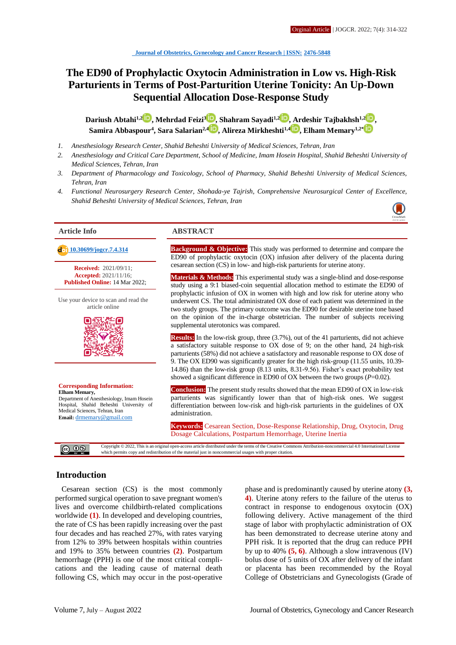# **The ED90 of Prophylactic Oxytocin Administration in Low vs. High-Risk Parturients in Terms of Post-Parturition Uterine Tonicity: An Up-Down Sequential Allocation Dose-Response Study**

**Dariush Abtahi1,[2](http://orcid.org/0000-0001-8127-2363) , Mehrdad Feizi<sup>3</sup> [,](http://orcid.org/0000-0002-6896-838X) Shahram Sayadi1,[2](http://orcid.org/0000-0002-3494-0397) , Ardeshir Tajbakhsh1,[2](http://orcid.org/0000-0002-0710-4967) , Samira Abbaspour<sup>4</sup> , Sara Salarian2,4 [,](http://orcid.org/0000-0002-4544-8883) Alireza Mirkheshti1,[4](http://orcid.org/0000-0003-2781-5843) , Elham Memary1,2[\\*](http://orcid.org/0000-0002-4845-9342)**

- *1. Anesthesiology Research Center, Shahid Beheshti University of Medical Sciences, Tehran, Iran*
- *2. Anesthesiology and Critical Care Department, School of Medicine, Imam Hosein Hospital, Shahid Beheshti University of Medical Sciences, Tehran, Iran*
- *3. Department of Pharmacology and Toxicology, School of Pharmacy, Shahid Beheshti University of Medical Sciences, Tehran, Iran*
- *4. Functional Neurosurgery Research Center, Shohada-ye Tajrish, Comprehensive Neurosurgical Center of Excellence, Shahid Beheshti University of Medical Sciences, Tehran, Iran*

**Received:** 2021/09/11; **Accepted:** 2021/11/16; **Published Online:** 14 Mar 2022;

Use your device to scan and read the article online



#### **Corresponding Information: Elham Memary,** Department of Anesthesiology, Imam Hosein

Hospital, Shahid Beheshti University of Medical Sciences, Tehran, Iran **Email:** [drmemary@gmail.com](mailto:drmemary@gmail.com)

#### **Article Info ABSTRACT**

**[10.30699/jogcr.7.4.314](http://dx.doi.org/10.30699/jogcr.7.4.314) Background & Objective:** This study was performed to determine and compare the ED90 of prophylactic oxytocin (OX) infusion after delivery of the placenta during cesarean section (CS) in low- and high-risk parturients for uterine atony.

> **Materials & Methods:** This experimental study was a single-blind and dose-response study using a 9:1 biased-coin sequential allocation method to estimate the ED90 of prophylactic infusion of OX in women with high and low risk for uterine atony who underwent CS. The total administrated OX dose of each patient was determined in the two study groups. The primary outcome was the ED90 for desirable uterine tone based on the opinion of the in-charge obstetrician. The number of subjects receiving supplemental uterotonics was compared.

> **Results:** In the low-risk group, three (3.7%), out of the 41 parturients, did not achieve a satisfactory suitable response to OX dose of 9; on the other hand, 24 high-risk parturients (58%) did not achieve a satisfactory and reasonable response to OX dose of 9. The OX ED90 was significantly greater for the high risk-group (11.55 units, 10.39- 14.86) than the low-risk group (8.13 units, 8.31-9.56). Fisher's exact probability test showed a significant difference in ED90 of OX between the two groups (*P*=0.02).

> **Conclusion:** The present study results showed that the mean ED90 of OX in low-risk parturients was significantly lower than that of high-risk ones. We suggest differentiation between low-risk and high-risk parturients in the guidelines of OX administration.

> **Keywords:** Cesarean Section, Dose-Response Relationship, Drug, Oxytocin, Drug Dosage Calculations, Postpartum Hemorrhage, Uterine Inertia

Copyright © 2022, This is an original open-access article distributed under the terms of the Creative Commons Attribution-noncommercial 4.0 International License which permits copy and redistribution of the material just in noncommercial usages with proper citation.

# **Introduction**

Cesarean section (CS) is the most commonly performed surgical operation to save pregnant women's lives and overcome childbirth-related complications worldwide **(1)**. In developed and developing countries, the rate of CS has been rapidly increasing over the past four decades and has reached 27%, with rates varying from 12% to 39% between hospitals within countries and 19% to 35% between countries **(2)**. Postpartum hemorrhage (PPH) is one of the most critical complications and the leading cause of maternal death following CS, which may occur in the post-operative

phase and is predominantly caused by uterine atony **(3, 4)**. Uterine atony refers to the failure of the uterus to contract in response to endogenous oxytocin (OX) following delivery. Active management of the third stage of labor with prophylactic administration of OX has been demonstrated to decrease uterine atony and PPH risk. It is reported that the drug can reduce PPH by up to 40% **(5, 6)**. Although a slow intravenous (IV) bolus dose of 5 units of OX after delivery of the infant or placenta has been recommended by the Royal College of Obstetricians and Gynecologists (Grade of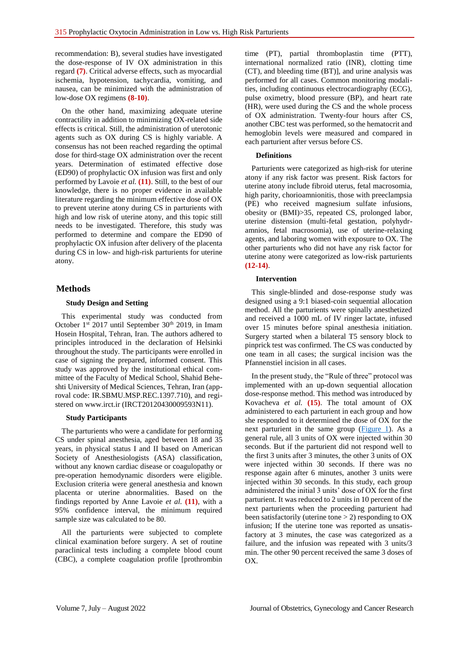recommendation: B), several studies have investigated the dose-response of IV OX administration in this regard **(7)**. Critical adverse effects, such as myocardial ischemia, hypotension, tachycardia, vomiting, and nausea, can be minimized with the administration of low-dose OX regimens **(8-10)**.

On the other hand, maximizing adequate uterine contractility in addition to minimizing OX-related side effects is critical. Still, the administration of uterotonic agents such as OX during CS is highly variable. A consensus has not been reached regarding the optimal dose for third-stage OX administration over the recent years. Determination of estimated effective dose (ED90) of prophylactic OX infusion was first and only performed by Lavoie *et al.* **(11)**. Still, to the best of our knowledge, there is no proper evidence in available literature regarding the minimum effective dose of OX to prevent uterine atony during CS in parturients with high and low risk of uterine atony, and this topic still needs to be investigated. Therefore, this study was performed to determine and compare the ED90 of prophylactic OX infusion after delivery of the placenta during CS in low- and high-risk parturients for uterine atony.

# **Methods**

### **Study Design and Setting**

This experimental study was conducted from October  $1^{st}$  2017 until September 30<sup>th</sup> 2019, in Imam Hosein Hospital, Tehran, Iran. The authors adhered to principles introduced in the declaration of Helsinki throughout the study. The participants were enrolled in case of signing the prepared, informed consent. This study was approved by the institutional ethical committee of the Faculty of Medical School, Shahid Beheshti University of Medical Sciences, Tehran, Iran (approval code: IR.SBMU.MSP.REC.1397.710), and registered on www.irct.ir (IRCT20120430009593N11).

### **Study Participants**

The parturients who were a candidate for performing CS under spinal anesthesia, aged between 18 and 35 years, in physical status I and II based on American Society of Anesthesiologists (ASA) classification, without any known cardiac disease or coagulopathy or pre-operation hemodynamic disorders were eligible. Exclusion criteria were general anesthesia and known placenta or uterine abnormalities. Based on the findings reported by Anne Lavoie *et al.* **(11)**, with a 95% confidence interval, the minimum required sample size was calculated to be 80.

All the parturients were subjected to complete clinical examination before surgery. A set of routine paraclinical tests including a complete blood count (CBC), a complete coagulation profile [prothrombin time (PT), partial thromboplastin time (PTT), international normalized ratio (INR), clotting time (CT), and bleeding time (BT)], and urine analysis was performed for all cases. Common monitoring modalities, including continuous electrocardiography (ECG), pulse oximetry, blood pressure (BP), and heart rate (HR), were used during the CS and the whole process of OX administration. Twenty-four hours after CS, another CBC test was performed, so the hematocrit and hemoglobin levels were measured and compared in each parturient after versus before CS.

### **Definitions**

Parturients were categorized as high-risk for uterine atony if any risk factor was present. Risk factors for uterine atony include fibroid uterus, fetal macrosomia, high parity, chorioamnionitis, those with preeclampsia (PE) who received magnesium sulfate infusions, obesity or (BMI)>35, repeated CS, prolonged labor, uterine distension (multi-fetal gestation, polyhydramnios, fetal macrosomia), use of uterine-relaxing agents, and laboring women with exposure to OX. The other parturients who did not have any risk factor for uterine atony were categorized as low-risk parturients **(12-14)**.

### **Intervention**

This single-blinded and dose-response study was designed using a 9:1 biased-coin sequential allocation method. All the parturients were spinally anesthetized and received a 1000 mL of IV ringer lactate, infused over 15 minutes before spinal anesthesia initiation. Surgery started when a bilateral T5 sensory block to pinprick test was confirmed. The CS was conducted by one team in all cases; the surgical incision was the Pfannenstiel incision in all cases.

In the present study, the "Rule of three" protocol was implemented with an up-down sequential allocation dose-response method. This method was introduced by Kovacheva *et al.* **(15)**. The total amount of OX administered to each parturient in each group and how she responded to it determined the dose of OX for the next parturient in the same group  $(Figure 1)$ . As a general rule, all 3 units of OX were injected within 30 seconds. But if the parturient did not respond well to the first 3 units after 3 minutes, the other 3 units of OX were injected within 30 seconds. If there was no response again after 6 minutes, another 3 units were injected within 30 seconds. In this study, each group administered the initial 3 units' dose of OX for the first parturient. It was reduced to 2 units in 10 percent of the next parturients when the proceeding parturient had been satisfactorily (uterine tone  $> 2$ ) responding to OX infusion; If the uterine tone was reported as unsatisfactory at 3 minutes, the case was categorized as a failure, and the infusion was repeated with 3 units/3 min. The other 90 percent received the same 3 doses of OX.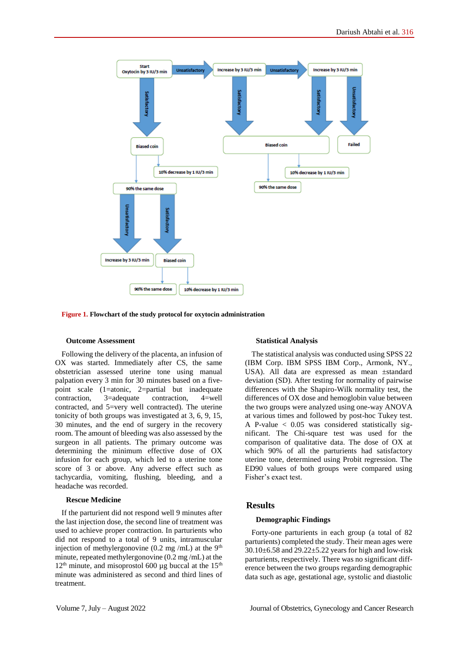<span id="page-2-0"></span>

**Figure 1. Flowchart of the study protocol for oxytocin administration**

#### **Outcome Assessment**

Following the delivery of the placenta, an infusion of OX was started. Immediately after CS, the same obstetrician assessed uterine tone using manual palpation every 3 min for 30 minutes based on a fivepoint scale (1=atonic, 2=partial but inadequate contraction, 3=adequate contraction, 4=well contracted, and 5=very well contracted). The uterine tonicity of both groups was investigated at 3, 6, 9, 15, 30 minutes, and the end of surgery in the recovery room. The amount of bleeding was also assessed by the surgeon in all patients. The primary outcome was determining the minimum effective dose of OX infusion for each group, which led to a uterine tone score of 3 or above. Any adverse effect such as tachycardia, vomiting, flushing, bleeding, and a headache was recorded.

#### **Rescue Medicine**

If the parturient did not respond well 9 minutes after the last injection dose, the second line of treatment was used to achieve proper contraction. In parturients who did not respond to a total of 9 units, intramuscular injection of methylergonovine  $(0.2 \text{ mg/mL})$  at the 9<sup>th</sup> minute, repeated methylergonovine (0.2 mg /mL) at the  $12<sup>th</sup>$  minute, and misoprostol 600 µg buccal at the 15<sup>th</sup> minute was administered as second and third lines of treatment.

#### **Statistical Analysis**

The statistical analysis was conducted using SPSS 22 (IBM Corp. IBM SPSS IBM Corp., Armonk, NY., USA). All data are expressed as mean ±standard deviation (SD). After testing for normality of pairwise differences with the Shapiro-Wilk normality test, the differences of OX dose and hemoglobin value between the two groups were analyzed using one-way ANOVA at various times and followed by post-hoc Tukey test. A P-value < 0.05 was considered statistically significant. The Chi-square test was used for the comparison of qualitative data. The dose of OX at which 90% of all the parturients had satisfactory uterine tone, determined using Probit regression. The ED90 values of both groups were compared using Fisher's exact test.

#### **Results**

#### **Demographic Findings**

Forty-one parturients in each group (a total of 82 parturients) completed the study. Their mean ages were  $30.10\pm6.58$  and  $29.22\pm5.22$  years for high and low-risk parturients, respectively. There was no significant difference between the two groups regarding demographic data such as age, gestational age, systolic and diastolic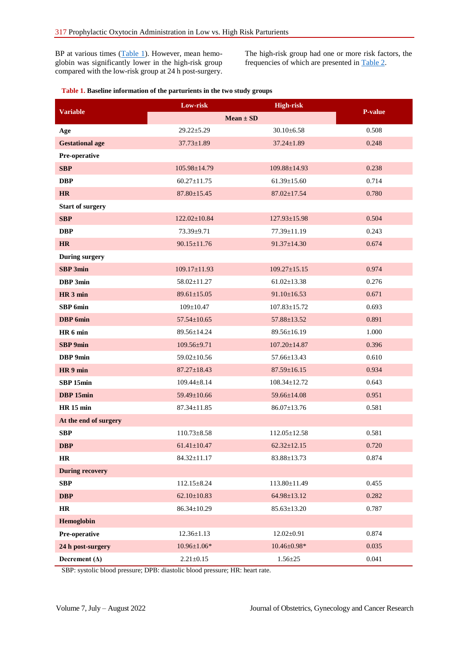BP at various times  $(Table 1)$ . However, mean hemoglobin was significantly lower in the high-risk group compared with the low-risk group at 24 h post-surgery. The high-risk group had one or more risk factors, the frequencies of which are presented in [Table 2.](#page-4-0)

### <span id="page-3-0"></span>**Table 1. Baseline information of the parturients in the two study groups**

| Variable                | Low-risk           | <b>High-risk</b>   |       |
|-------------------------|--------------------|--------------------|-------|
|                         | $Mean \pm SD$      | <b>P-value</b>     |       |
| Age                     | $29.22 \pm 5.29$   | $30.10 \pm 6.58$   | 0.508 |
| <b>Gestational age</b>  | $37.73 \pm 1.89$   | $37.24 \pm 1.89$   | 0.248 |
| Pre-operative           |                    |                    |       |
| <b>SBP</b>              | $105.98 \pm 14.79$ | $109.88 \pm 14.93$ | 0.238 |
| <b>DBP</b>              | $60.27 \pm 11.75$  | $61.39 \pm 15.60$  | 0.714 |
| <b>HR</b>               | $87.80 \pm 15.45$  | $87.02 \pm 17.54$  | 0.780 |
| <b>Start of surgery</b> |                    |                    |       |
| <b>SBP</b>              | $122.02 \pm 10.84$ | $127.93 \pm 15.98$ | 0.504 |
| <b>DBP</b>              | 73.39±9.71         | 77.39±11.19        | 0.243 |
| <b>HR</b>               | $90.15 \pm 11.76$  | $91.37 \pm 14.30$  | 0.674 |
| <b>During surgery</b>   |                    |                    |       |
| <b>SBP</b> 3min         | $109.17 \pm 11.93$ | $109.27 \pm 15.15$ | 0.974 |
| DBP 3min                | 58.02±11.27        | $61.02 \pm 13.38$  | 0.276 |
| HR <sub>3</sub> min     | $89.61 \pm 15.05$  | $91.10 \pm 16.53$  | 0.671 |
| <b>SBP</b> 6min         | $109 \pm 10.47$    | $107.83 \pm 15.72$ | 0.693 |
| <b>DBP</b> 6min         | $57.54 \pm 10.65$  | 57.88±13.52        | 0.891 |
| HR 6 min                | $89.56 \pm 14.24$  | 89.56±16.19        | 1.000 |
| <b>SBP</b> 9min         | $109.56 \pm 9.71$  | $107.20 \pm 14.87$ | 0.396 |
| DBP 9min                | $59.02 \pm 10.56$  | 57.66±13.43        | 0.610 |
| HR 9 min                | $87.27 \pm 18.43$  | $87.59 \pm 16.15$  | 0.934 |
| SBP 15min               | $109.44 \pm 8.14$  | $108.34 \pm 12.72$ | 0.643 |
| DBP 15min               | 59.49±10.66        | 59.66±14.08        | 0.951 |
| <b>HR</b> 15 min        | $87.34 \pm 11.85$  | $86.07 \pm 13.76$  | 0.581 |
| At the end of surgery   |                    |                    |       |
| <b>SBP</b>              | $110.73 \pm 8.58$  | $112.05 \pm 12.58$ | 0.581 |
| <b>DBP</b>              | $61.41 \pm 10.47$  | $62.32 \pm 12.15$  | 0.720 |
| HR                      | $84.32 \pm 11.17$  | $83.88 \pm 13.73$  | 0.874 |
| <b>During recovery</b>  |                    |                    |       |
| <b>SBP</b>              | $112.15 \pm 8.24$  | $113.80 \pm 11.49$ | 0.455 |
| <b>DBP</b>              | $62.10 \pm 10.83$  | $64.98 \pm 13.12$  | 0.282 |
| $\mathbf{HR}$           | 86.34±10.29        | $85.63 \pm 13.20$  | 0.787 |
| Hemoglobin              |                    |                    |       |
| Pre-operative           | $12.36 \pm 1.13$   | $12.02 \pm 0.91$   | 0.874 |
| 24 h post-surgery       | $10.96 \pm 1.06*$  | $10.46 \pm 0.98*$  | 0.035 |
| Decrement $(\Delta)$    | $2.21 \pm 0.15$    | $1.56 \pm 25$      | 0.041 |

SBP: systolic blood pressure; DPB: diastolic blood pressure; HR: heart rate.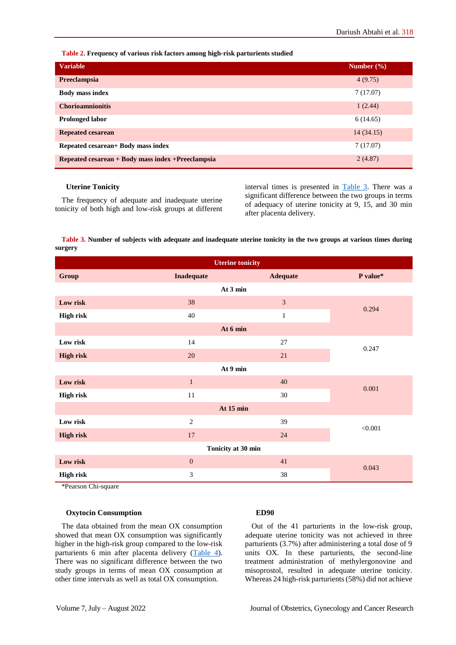<span id="page-4-0"></span>**Table 2. Frequency of various risk factors among high-risk parturients studied**

| <b>Variable</b>                                    | Number $(\% )$ |
|----------------------------------------------------|----------------|
| Preeclampsia                                       | 4(9.75)        |
| <b>Body mass index</b>                             | 7(17.07)       |
| <b>Chorioamnionitis</b>                            | 1(2.44)        |
| <b>Prolonged labor</b>                             | 6(14.65)       |
| <b>Repeated cesarean</b>                           | 14(34.15)      |
| Repeated cesarean+ Body mass index                 | 7(17.07)       |
| Repeated cesarean + Body mass index + Preeclampsia | 2(4.87)        |

#### **Uterine Tonicity**

The frequency of adequate and inadequate uterine tonicity of both high and low-risk groups at different interval times is presented in [Table 3.](#page-4-1) There was a significant difference between the two groups in terms of adequacy of uterine tonicity at 9, 15, and 30 min after placenta delivery.

### <span id="page-4-1"></span>**Table 3. Number of subjects with adequate and inadequate uterine tonicity in the two groups at various times during surgery**

| <b>Uterine tonicity</b> |                   |                 |          |  |  |  |  |
|-------------------------|-------------------|-----------------|----------|--|--|--|--|
| Group                   | <b>Inadequate</b> | <b>Adequate</b> | P value* |  |  |  |  |
| At 3 min                |                   |                 |          |  |  |  |  |
| Low risk                | 38                | $\overline{3}$  | 0.294    |  |  |  |  |
| <b>High risk</b>        | 40                | $\mathbf{1}$    |          |  |  |  |  |
| At 6 min                |                   |                 |          |  |  |  |  |
| Low risk                | 14                | 27              | 0.247    |  |  |  |  |
| <b>High risk</b>        | $20\,$            | 21              |          |  |  |  |  |
| At 9 min                |                   |                 |          |  |  |  |  |
| Low risk                | $\mathbf{1}$      | 40              | 0.001    |  |  |  |  |
| <b>High risk</b>        | $11\,$            | 30              |          |  |  |  |  |
| At 15 min               |                   |                 |          |  |  |  |  |
| Low risk                | $\overline{2}$    | 39              | < 0.001  |  |  |  |  |
| <b>High risk</b>        | $17\,$            | 24              |          |  |  |  |  |
| Tonicity at 30 min      |                   |                 |          |  |  |  |  |
| Low risk                | $\mathbf{0}$      | 41              | 0.043    |  |  |  |  |
| <b>High risk</b>        | $\mathfrak{Z}$    | 38              |          |  |  |  |  |

\*Pearson Chi-square

#### **Oxytocin Consumption**

The data obtained from the mean OX consumption showed that mean OX consumption was significantly higher in the high-risk group compared to the low-risk parturients 6 min after placenta delivery [\(Table 4\)](#page-5-0). There was no significant difference between the two study groups in terms of mean OX consumption at other time intervals as well as total OX consumption.

#### **ED90**

Out of the 41 parturients in the low-risk group, adequate uterine tonicity was not achieved in three parturients (3.7%) after administering a total dose of 9 units OX. In these parturients, the second-line treatment administration of methylergonovine and misoprostol, resulted in adequate uterine tonicity. Whereas 24 high-risk parturients (58%) did not achieve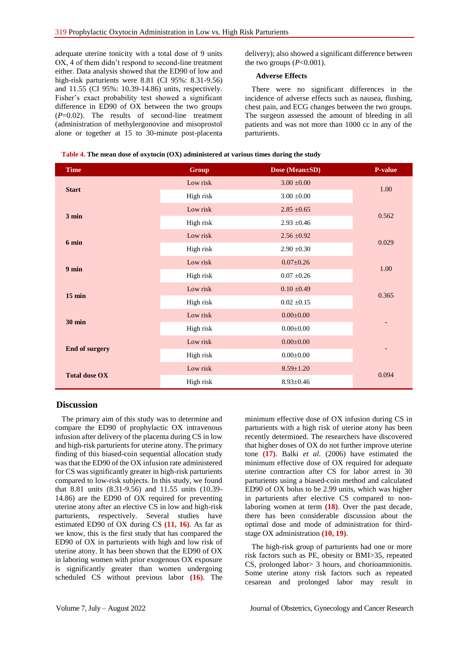adequate uterine tonicity with a total dose of 9 units OX, 4 of them didn't respond to second-line treatment either. Data analysis showed that the ED90 of low and high-risk parturients were 8.81 (CI 95%: 8.31-9.56) and 11.55 (CI 95%: 10.39-14.86) units, respectively. Fisher's exact probability test showed a significant difference in ED90 of OX between the two groups (*P*=0.02). The results of second-line treatment (administration of methylergonovine and misoprostol alone or together at 15 to 30-minute post-placenta

delivery); also showed a significant difference between the two groups  $(P<0.001)$ .

#### **Adverse Effects**

There were no significant differences in the incidence of adverse effects such as nausea, flushing, chest pain, and ECG changes between the two groups. The surgeon assessed the amount of bleeding in all patients and was not more than 1000 cc in any of the parturients.

| <b>Time</b>           | <b>Group</b> | Dose (Mean±SD)  | P-value |
|-----------------------|--------------|-----------------|---------|
| <b>Start</b>          | Low risk     | $3.00 \pm 0.00$ | 1.00    |
|                       | High risk    | $3.00\pm0.00$   |         |
| $3 \text{ min}$       | Low risk     | $2.85 \pm 0.65$ | 0.562   |
|                       | High risk    | $2.93 \pm 0.46$ |         |
|                       | Low risk     | $2.56 \pm 0.92$ | 0.029   |
| 6 min                 | High risk    | $2.90 \pm 0.30$ |         |
| $9 \text{ min}$       | Low risk     | $0.07 \pm 0.26$ | 1.00    |
|                       | High risk    | $0.07 \pm 0.26$ |         |
| $15$ min              | Low risk     | $0.10 \pm 0.49$ | 0.365   |
|                       | High risk    | $0.02 \pm 0.15$ |         |
|                       | Low risk     | $0.00 \pm 0.00$ |         |
| <b>30 min</b>         | High risk    | $0.00\pm0.00$   |         |
|                       | Low risk     | $0.00 \pm 0.00$ |         |
| <b>End of surgery</b> | High risk    | $0.00\pm0.00$   | -       |
|                       | Low risk     | $8.59 \pm 1.20$ |         |
| <b>Total dose OX</b>  | High risk    | $8.93 \pm 0.46$ | 0.094   |

<span id="page-5-0"></span>**Table 4. The mean dose of oxytocin (OX) administered at various times during the study**

### **Discussion**

The primary aim of this study was to determine and compare the ED90 of prophylactic OX intravenous infusion after delivery of the placenta during CS in low and high-risk parturients for uterine atony. The primary finding of this biased-coin sequential allocation study was that the ED90 of the OX infusion rate administered for CS was significantly greater in high-risk parturients compared to low-risk subjects. In this study, we found that 8.81 units (8.31-9.56) and 11.55 units (10.39- 14.86) are the ED90 of OX required for preventing uterine atony after an elective CS in low and high-risk parturients, respectively. Several studies have estimated ED90 of OX during CS **(11, 16)**. As far as we know, this is the first study that has compared the ED90 of OX in parturients with high and low risk of uterine atony. It has been shown that the ED90 of OX in laboring women with prior exogenous OX exposure is significantly greater than women undergoing scheduled CS without previous labor **(16)**. The minimum effective dose of OX infusion during CS in parturients with a high risk of uterine atony has been recently determined. The researchers have discovered that higher doses of OX do not further improve uterine tone **(17)**. Balki *et al.* (2006) have estimated the minimum effective dose of OX required for adequate uterine contraction after CS for labor arrest in 30 parturients using a biased-coin method and calculated ED90 of OX bolus to be 2.99 units, which was higher in parturients after elective CS compared to nonlaboring women at term **(18)**. Over the past decade, there has been considerable discussion about the optimal dose and mode of administration for thirdstage OX administration **(10, 19)**.

The high-risk group of parturients had one or more risk factors such as PE, obesity or BMI>35, repeated CS, prolonged labor> 3 hours, and chorioamnionitis. Some uterine atony risk factors such as repeated cesarean and prolonged labor may result in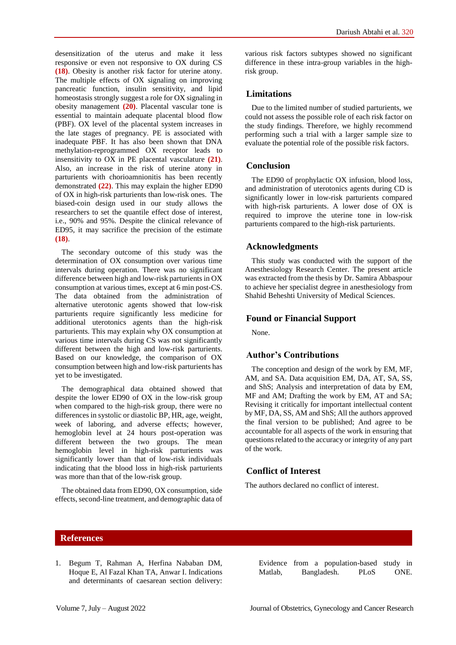desensitization of the uterus and make it less responsive or even not responsive to OX during CS **(18)**. Obesity is another risk factor for uterine atony. The multiple effects of OX signaling on improving pancreatic function, insulin sensitivity, and lipid homeostasis strongly suggest a role for OX signaling in obesity management **(20)**. Placental vascular tone is essential to maintain adequate placental blood flow (PBF). OX level of the placental system increases in the late stages of pregnancy. PE is associated with inadequate PBF. It has also been shown that DNA methylation-reprogrammed OX receptor leads to insensitivity to OX in PE placental vasculature **(21)**. Also, an increase in the risk of uterine atony in parturients with chorioamnionitis has been recently demonstrated **(22)**. This may explain the higher ED90 of OX in high-risk parturients than low-risk ones. The biased-coin design used in our study allows the researchers to set the quantile effect dose of interest, i.e., 90% and 95%. Despite the clinical relevance of ED95, it may sacrifice the precision of the estimate **(18)**.

The secondary outcome of this study was the determination of OX consumption over various time intervals during operation. There was no significant difference between high and low-risk parturients in OX consumption at various times, except at 6 min post-CS. The data obtained from the administration of alternative uterotonic agents showed that low-risk parturients require significantly less medicine for additional uterotonics agents than the high-risk parturients. This may explain why OX consumption at various time intervals during CS was not significantly different between the high and low-risk parturients. Based on our knowledge, the comparison of OX consumption between high and low-risk parturients has yet to be investigated.

The demographical data obtained showed that despite the lower ED90 of OX in the low-risk group when compared to the high-risk group, there were no differences in systolic or diastolic BP, HR, age, weight, week of laboring, and adverse effects; however, hemoglobin level at 24 hours post-operation was different between the two groups. The mean hemoglobin level in high-risk parturients was significantly lower than that of low-risk individuals indicating that the blood loss in high-risk parturients was more than that of the low-risk group.

The obtained data from ED90, OX consumption, side effects, second-line treatment, and demographic data of various risk factors subtypes showed no significant difference in these intra-group variables in the highrisk group.

### **Limitations**

Due to the limited number of studied parturients, we could not assess the possible role of each risk factor on the study findings. Therefore, we highly recommend performing such a trial with a larger sample size to evaluate the potential role of the possible risk factors.

# **Conclusion**

The ED90 of prophylactic OX infusion, blood loss, and administration of uterotonics agents during CD is significantly lower in low-risk parturients compared with high-risk parturients. A lower dose of OX is required to improve the uterine tone in low-risk parturients compared to the high-risk parturients.

# **Acknowledgments**

This study was conducted with the support of the Anesthesiology Research Center. The present article was extracted from the thesis by Dr. Samira Abbaspour to achieve her specialist degree in anesthesiology from Shahid Beheshti University of Medical Sciences.

# **Found or Financial Support**

None.

### **Author's Contributions**

The conception and design of the work by EM, MF, AM, and SA. Data acquisition EM, DA, AT, SA, SS, and ShS; Analysis and interpretation of data by EM, MF and AM; Drafting the work by EM, AT and SA; Revising it critically for important intellectual content by MF, DA, SS, AM and ShS; All the authors approved the final version to be published; And agree to be accountable for all aspects of the work in ensuring that questions related to the accuracy or integrity of any part of the work.

# **Conflict of Interest**

The authors declared no conflict of interest.

### **References**

1. Begum T, Rahman A, Herfina Nababan DM, Hoque E, Al Fazal Khan TA, Anwar I. Indications and determinants of caesarean section delivery: Evidence from a population-based study in Matlab, Bangladesh. PLoS ONE.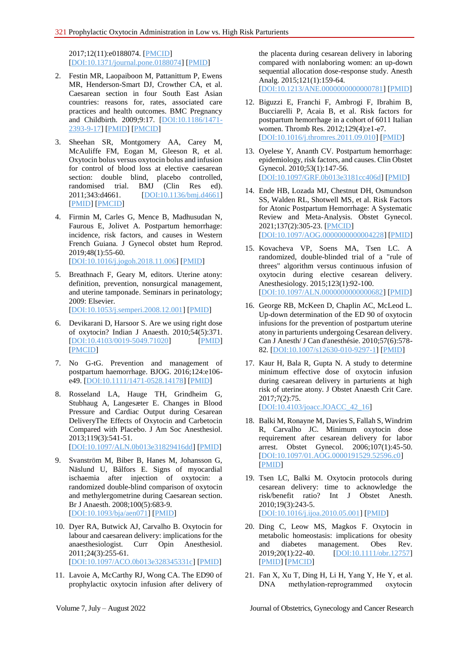2017;12(11):e0188074. [\[PMCID\]](http://www.ncbi.nlm.nih.gov/pmc/articles/PMC5695799) [\[DOI:10.1371/journal.pone.0188074\]](https://doi.org/10.1371/journal.pone.0188074) [\[PMID\]](https://www.ncbi.nlm.nih.gov/pubmed/29155840)

- 2. Festin MR, Laopaiboon M, Pattanittum P, Ewens MR, Henderson-Smart DJ, Crowther CA, et al. Caesarean section in four South East Asian countries: reasons for, rates, associated care practices and health outcomes. BMC Pregnancy and Childbirth. 2009;9:17. [\[DOI:10.1186/1471-](https://doi.org/10.1186/1471-2393-9-17) [2393-9-17\]](https://doi.org/10.1186/1471-2393-9-17) [\[PMID\]](https://www.ncbi.nlm.nih.gov/pubmed/19426513) [\[PMCID\]](http://www.ncbi.nlm.nih.gov/pmc/articles/PMC2695422)
- 3. Sheehan SR, Montgomery AA, Carey M, McAuliffe FM, Eogan M, Gleeson R, et al. Oxytocin bolus versus oxytocin bolus and infusion for control of blood loss at elective caesarean section: double blind, placebo controlled, randomised trial. BMJ (Clin Res ed). 2011;343:d4661. [\[DOI:10.1136/bmj.d4661\]](https://doi.org/10.1136/bmj.d4661) [\[PMID\]](https://www.ncbi.nlm.nih.gov/pubmed/21807773) [\[PMCID\]](http://www.ncbi.nlm.nih.gov/pmc/articles/PMC3148015)
- 4. Firmin M, Carles G, Mence B, Madhusudan N, Faurous E, Jolivet A. Postpartum hemorrhage: incidence, risk factors, and causes in Western French Guiana. J Gynecol obstet hum Reprod. 2019;48(1):55-60. [\[DOI:10.1016/j.jogoh.2018.11.006\]](https://doi.org/10.1016/j.jogoh.2018.11.006) [\[PMID\]](https://www.ncbi.nlm.nih.gov/pubmed/30476677)
- 5. Breathnach F, Geary M, editors. Uterine atony: definition, prevention, nonsurgical management, and uterine tamponade. Seminars in perinatology; 2009: Elsevier. [\[DOI:10.1053/j.semperi.2008.12.001\]](https://doi.org/10.1053/j.semperi.2008.12.001) [\[PMID\]](https://www.ncbi.nlm.nih.gov/pubmed/19324236)
- 6. Devikarani D, Harsoor S. Are we using right dose of oxytocin? Indian J Anaesth. 2010;54(5):371. [\[DOI:10.4103/0019-5049.71020\]](https://doi.org/10.4103/0019-5049.71020) [\[PMID\]](https://www.ncbi.nlm.nih.gov/pubmed/21189871) [\[PMCID\]](http://www.ncbi.nlm.nih.gov/pmc/articles/PMC2991643)
- 7. No G-tG. Prevention and management of postpartum haemorrhage. BJOG. 2016;124:e106 e49. [\[DOI:10.1111/1471-0528.14178\]](https://doi.org/10.1111/1471-0528.14178) [\[PMID\]](https://www.ncbi.nlm.nih.gov/pubmed/27981719)
- 8. Rosseland LA, Hauge TH, Grindheim G, Stubhaug A, Langesæter E. Changes in Blood Pressure and Cardiac Output during Cesarean DeliveryThe Effects of Oxytocin and Carbetocin Compared with Placebo. J Am Soc Anesthesiol. 2013;119(3):541-51. [\[DOI:10.1097/ALN.0b013e31829416dd\]](https://doi.org/10.1097/ALN.0b013e31829416dd) [\[PMID\]](https://www.ncbi.nlm.nih.gov/pubmed/23598289)
- 9. Svanström M, Biber B, Hanes M, Johansson G, Näslund U, Bålfors E. Signs of myocardial ischaemia after injection of oxytocin: a randomized double-blind comparison of oxytocin and methylergometrine during Caesarean section. Br J Anaesth. 2008;100(5):683-9. [\[DOI:10.1093/bja/aen071\]](https://doi.org/10.1093/bja/aen071) [\[PMID\]](https://www.ncbi.nlm.nih.gov/pubmed/18385263)
- 10. Dyer RA, Butwick AJ, Carvalho B. Oxytocin for labour and caesarean delivery: implications for the anaesthesiologist. Curr Opin Anesthesiol. 2011;24(3):255-61. [\[DOI:10.1097/ACO.0b013e328345331c\]](https://doi.org/10.1097/ACO.0b013e328345331c) [\[PMID\]](https://www.ncbi.nlm.nih.gov/pubmed/21415725)
- 11. Lavoie A, McCarthy RJ, Wong CA. The ED90 of prophylactic oxytocin infusion after delivery of

the placenta during cesarean delivery in laboring compared with nonlaboring women: an up-down sequential allocation dose-response study. Anesth Analg. 2015;121(1):159-64.

[\[DOI:10.1213/ANE.0000000000000781\]](https://doi.org/10.1213/ANE.0000000000000781) [\[PMID\]](https://www.ncbi.nlm.nih.gov/pubmed/25902327)

- 12. Biguzzi E, Franchi F, Ambrogi F, Ibrahim B, Bucciarelli P, Acaia B, et al. Risk factors for postpartum hemorrhage in a cohort of 6011 Italian women. Thromb Res. 2012;129(4):e1-e7. [\[DOI:10.1016/j.thromres.2011.09.010\]](https://doi.org/10.1016/j.thromres.2011.09.010) [\[PMID\]](https://www.ncbi.nlm.nih.gov/pubmed/22018996)
- 13. Oyelese Y, Ananth CV. Postpartum hemorrhage: epidemiology, risk factors, and causes. Clin Obstet Gynecol. 2010;53(1):147-56. [\[DOI:10.1097/GRF.0b013e3181cc406d\]](https://doi.org/10.1097/GRF.0b013e3181cc406d) [\[PMID\]](https://www.ncbi.nlm.nih.gov/pubmed/20142652)
- 14. Ende HB, Lozada MJ, Chestnut DH, Osmundson SS, Walden RL, Shotwell MS, et al. Risk Factors for Atonic Postpartum Hemorrhage: A Systematic Review and Meta-Analysis. Obstet Gynecol. 2021;137(2):305-23. [\[PMCID\]](http://www.ncbi.nlm.nih.gov/pmc/articles/PMC8336570) [\[DOI:10.1097/AOG.0000000000004228\]](https://doi.org/10.1097/AOG.0000000000004228) [\[PMID\]](https://www.ncbi.nlm.nih.gov/pubmed/33417319)
- 15. Kovacheva VP, Soens MA, Tsen LC. A randomized, double-blinded trial of a "rule of threes" algorithm versus continuous infusion of oxytocin during elective cesarean delivery. Anesthesiology. 2015;123(1):92-100. [\[DOI:10.1097/ALN.0000000000000682\]](https://doi.org/10.1097/ALN.0000000000000682) [\[PMID\]](https://www.ncbi.nlm.nih.gov/pubmed/25909969)
- 16. George RB, McKeen D, Chaplin AC, McLeod L. Up-down determination of the ED 90 of oxytocin infusions for the prevention of postpartum uterine atony in parturients undergoing Cesarean delivery. Can J Anesth/ J Can d'anesthésie. 2010;57(6):578- 82. [\[DOI:10.1007/s12630-010-9297-1\]](https://doi.org/10.1007/s12630-010-9297-1) [\[PMID\]](https://www.ncbi.nlm.nih.gov/pubmed/20238255)
- 17. Kaur H, Bala R, Gupta N. A study to determine minimum effective dose of oxytocin infusion during caesarean delivery in parturients at high risk of uterine atony. J Obstet Anaesth Crit Care. 2017;7(2):75.

[\[DOI:10.4103/joacc.JOACC\\_42\\_16\]](https://doi.org/10.4103/joacc.JOACC_42_16)

- 18. Balki M, Ronayne M, Davies S, Fallah S, Windrim R, Carvalho JC. Minimum oxytocin dose requirement after cesarean delivery for labor arrest. Obstet Gynecol. 2006;107(1):45-50. [\[DOI:10.1097/01.AOG.0000191529.52596.c0\]](https://doi.org/10.1097/01.AOG.0000191529.52596.c0) [\[PMID\]](https://www.ncbi.nlm.nih.gov/pubmed/16394038)
- 19. Tsen LC, Balki M. Oxytocin protocols during cesarean delivery: time to acknowledge the risk/benefit ratio? Int J Obstet Anesth. 2010;19(3):243-5. [\[DOI:10.1016/j.ijoa.2010.05.001\]](https://doi.org/10.1016/j.ijoa.2010.05.001) [\[PMID\]](https://www.ncbi.nlm.nih.gov/pubmed/20570503)
- 20. Ding C, Leow MS, Magkos F. Oxytocin in metabolic homeostasis: implications for obesity and diabetes management. Obes Rev. 2019;20(1):22-40. [\[DOI:10.1111/obr.12757\]](https://doi.org/10.1111/obr.12757) [\[PMID\]](https://www.ncbi.nlm.nih.gov/pubmed/30253045) [\[PMCID\]](http://www.ncbi.nlm.nih.gov/pmc/articles/PMC7888317)
- 21. Fan X, Xu T, Ding H, Li H, Yang Y, He Y, et al. DNA methylation-reprogrammed oxytocin